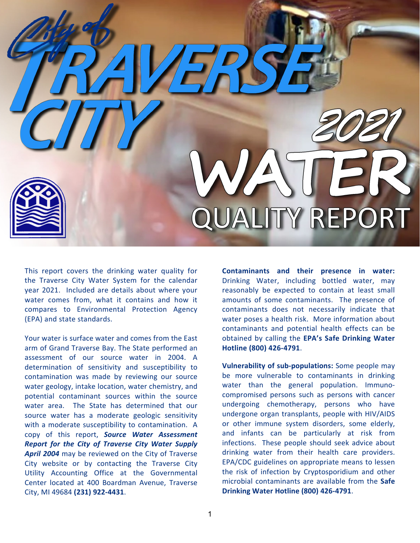# UALITY REPORT

This report covers the drinking water quality for the Traverse City Water System for the calendar year 2021. Included are details about where your water comes from, what it contains and how it compares to Environmental Protection Agency (EPA) and state standards.

Your water is surface water and comes from the East arm of Grand Traverse Bay. The State performed an assessment of our source water in 2004. A determination of sensitivity and susceptibility to contamination was made by reviewing our source water geology, intake location, water chemistry, and potential contaminant sources within the source water area. The State has determined that our source water has a moderate geologic sensitivity with a moderate susceptibility to contamination. A copy of this report, *[Source Water Assessment](https://www.traversecitymi.gov/userfiles/filemanager/4m23m71ifdr0zcik8ib9/)  [Report for the City of Traverse City Water Supply](https://www.traversecitymi.gov/userfiles/filemanager/4m23m71ifdr0zcik8ib9/)  [April 2004](https://www.traversecitymi.gov/userfiles/filemanager/4m23m71ifdr0zcik8ib9/)* may be reviewed on the City of Traverse City website or by contacting the Traverse City Utility Accounting Office at the Governmental Center located at 400 Boardman Avenue, Traverse City, MI 49684 **(231) 922-4431**.

**Contaminants and their presence in water:**  Drinking Water, including bottled water, may reasonably be expected to contain at least small amounts of some contaminants. The presence of contaminants does not necessarily indicate that water poses a health risk. More information about contaminants and potential health effects can be obtained by calling the **EPA's Safe Drinking Water Hotline (800) 426-4791**.

**Vulnerability of sub-populations:** Some people may be more vulnerable to contaminants in drinking water than the general population. Immunocompromised persons such as persons with cancer undergoing chemotherapy, persons who have undergone organ transplants, people with HIV/AIDS or other immune system disorders, some elderly, and infants can be particularly at risk from infections. These people should seek advice about drinking water from their health care providers. EPA/CDC guidelines on appropriate means to lessen the risk of infection by Cryptosporidium and other microbial contaminants are available from the **Safe Drinking Water Hotline (800) 426-4791**.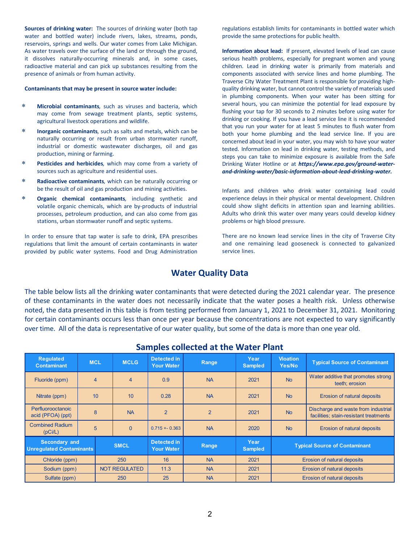**Sources of drinking water:** The sources of drinking water (both tap water and bottled water) include rivers, lakes, streams, ponds, reservoirs, springs and wells. Our water comes from Lake Michigan. As water travels over the surface of the land or through the ground, it dissolves naturally-occurring minerals and, in some cases, radioactive material and can pick up substances resulting from the presence of animals or from human activity.

### **Contaminants that may be present in source water include:**

- ∗ **Microbial contaminants***,* such as viruses and bacteria, which may come from sewage treatment plants, septic systems, agricultural livestock operations and wildlife.
- ∗ **Inorganic contaminants***,* such as salts and metals, which can be naturally occurring or result from urban stormwater runoff, industrial or domestic wastewater discharges, oil and gas production, mining or farming.
- **Pesticides and herbicides**, which may come from a variety of sources such as agriculture and residential uses.
- **Radioactive contaminants**, which can be naturally occurring or be the result of oil and gas production and mining activities.
- **Organic chemical contaminants**, including synthetic and volatile organic chemicals, which are by-products of industrial processes, petroleum production, and can also come from gas stations, urban stormwater runoff and septic systems.

In order to ensure that tap water is safe to drink, EPA prescribes regulations that limit the amount of certain contaminants in water provided by public water systems. Food and Drug Administration regulations establish limits for contaminants in bottled water which provide the same protections for public health.

**Information about lead:** If present, elevated levels of lead can cause serious health problems, especially for pregnant women and young children. Lead in drinking water is primarily from materials and components associated with service lines and home plumbing. The Traverse City Water Treatment Plant is responsible for providing highquality drinking water, but cannot control the variety of materials used in plumbing components. When your water has been sitting for several hours, you can minimize the potential for lead exposure by flushing your tap for 30 seconds to 2 minutes before using water for drinking or cooking. If you have a lead service line it is recommended that you run your water for at least 5 minutes to flush water from both your home plumbing and the lead service line. If you are concerned about lead in your water, you may wish to have your water tested. Information on lead in drinking water, testing methods, and steps you can take to minimize exposure is available from the Safe Drinking Water Hotline or at *[https://www.epa.gov/ground-water](https://www.epa.gov/ground-water-and-drinking-water/basic-information-about-lead-drinking-water)[and-drinking-water/basic-information-about-lead-drinking-water.](https://www.epa.gov/ground-water-and-drinking-water/basic-information-about-lead-drinking-water)*

Infants and children who drink water containing lead could experience delays in their physical or mental development. Children could show slight deficits in attention span and learning abilities. Adults who drink this water over many years could develop kidney problems or high blood pressure.

There are no known lead service lines in the city of Traverse City and one remaining lead gooseneck is connected to galvanized service lines.

### **Water Quality Data**

The table below lists all the drinking water contaminants that were detected during the 2021 calendar year. The presence of these contaminants in the water does not necessarily indicate that the water poses a health risk. Unless otherwise noted, the data presented in this table is from testing performed from January 1, 2021 to December 31, 2021. Monitoring for certain contaminants occurs less than once per year because the concentrations are not expected to vary significantly over time. All of the data is representative of our water quality, but some of the data is more than one year old.

| <b>Requlated</b><br><b>MCL</b><br><b>Contaminant</b> |                |  | <b>MCLG</b>          | <b>Detected in</b><br><b>Your Water</b> | Range          | Year<br><b>Sampled</b> | <b>Vioation</b><br>Yes/No   | <b>Typical Source of Contaminant</b>                                          |
|------------------------------------------------------|----------------|--|----------------------|-----------------------------------------|----------------|------------------------|-----------------------------|-------------------------------------------------------------------------------|
| Fluoride (ppm)                                       | $\overline{4}$ |  | 4                    | 0.9                                     | <b>NA</b>      | 2021                   | <b>No</b>                   | Water additive that promotes strong<br>teeth; erosion                         |
| Nitrate (ppm)                                        | 10             |  | 10                   | 0.28                                    | <b>NA</b>      | 2021                   | <b>No</b>                   | Erosion of natural deposits                                                   |
| Perfluorooctanoic<br>acid (PFOA) (ppt)               | 8              |  | <b>NA</b>            | $\overline{2}$                          | $\overline{2}$ | 2021                   | <b>No</b>                   | Discharge and waste from industrial<br>facilities; stain-resistant treatments |
| <b>Combined Radium</b><br>(pCi/L)                    | 5              |  | $\Omega$             | $0.715 + 0.363$                         | <b>NA</b>      | 2020                   | <b>No</b>                   | Erosion of natural deposits                                                   |
| Secondary and<br><b>Unrequlated Contaminants</b>     |                |  | <b>SMCL</b>          | <b>Detected in</b><br><b>Your Water</b> | Range          | Year<br><b>Sampled</b> |                             | <b>Typical Source of Contaminant</b>                                          |
| Chloride (ppm)                                       |                |  | 250                  | 16                                      | <b>NA</b>      | 2021                   | Erosion of natural deposits |                                                                               |
| Sodium (ppm)                                         |                |  | <b>NOT REGULATED</b> | 11.3                                    | <b>NA</b>      | 2021                   |                             | Erosion of natural deposits                                                   |
| Sulfate (ppm)                                        |                |  | 250                  | 25                                      | <b>NA</b>      | 2021                   | Erosion of natural deposits |                                                                               |

### **Samples collected at the Water Plant**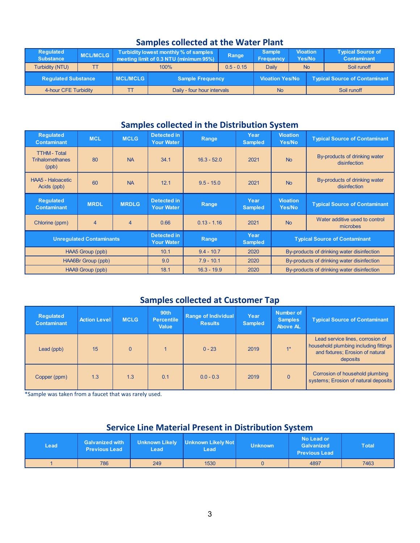# **Samples collected at the Water Plant**

| <b>Regulated</b><br><b>Substance</b> | MCL/MCLG |                 | Turbidity lowest monthly % of samples<br>meeting limit of 0.3 NTU (minimum 95%) | Range        | <b>Sample</b><br><b>Frequency</b> | <b>Vioation</b><br>Yes/No | <b>Typical Source of</b><br><b>Contaminant</b> |  |
|--------------------------------------|----------|-----------------|---------------------------------------------------------------------------------|--------------|-----------------------------------|---------------------------|------------------------------------------------|--|
| Turbidity (NTU)                      | ТT       |                 | 100%                                                                            | $0.5 - 0.15$ | <b>Daily</b>                      | <b>No</b>                 | Soil runoff                                    |  |
| <b>Requlated Substance</b>           |          | <b>MCL/MCLG</b> | <b>Sample Frequency</b>                                                         |              | <b>Vioation Yes/No</b>            |                           | <b>Typical Source of Contaminant</b>           |  |
| 4-hour CFE Turbidity                 |          |                 | Daily - four hour intervals                                                     | <b>No</b>    |                                   | Soil runoff               |                                                |  |

## **Samples collected in the Distribution System**

| <b>Requlated</b><br><b>Contaminant</b>                 | <b>MCL</b>                | <b>MCLG</b>    | Detected in<br><b>Your Water</b>        | Range         | Year<br><b>Sampled</b> | <b>Vioation</b><br>Yes/No                  | <b>Typical Source of Contaminant</b>          |  |  |
|--------------------------------------------------------|---------------------------|----------------|-----------------------------------------|---------------|------------------------|--------------------------------------------|-----------------------------------------------|--|--|
| <b>TTHM - Total</b><br><b>Trihalomethanes</b><br>(ppb) | 80                        |                | 34.1                                    | $16.3 - 52.0$ | 2021                   | <b>No</b>                                  | By-products of drinking water<br>disinfection |  |  |
| <b>HAA5 - Haloacetic</b><br>Acids (ppb)                | 60                        | <b>NA</b>      | 12.1                                    | $9.5 - 15.0$  | 2021                   | <b>No</b>                                  | By-products of drinking water<br>disinfection |  |  |
| <b>Requlated</b><br><b>Contaminant</b>                 | <b>MRDL</b>               | <b>MRDLG</b>   | <b>Detected in</b><br><b>Your Water</b> | Range         | Year<br><b>Sampled</b> | <b>Vioation</b><br>Yes/No                  | <b>Typical Source of Contaminant</b>          |  |  |
| Chlorine (ppm)                                         | $\overline{4}$            | $\overline{4}$ | 0.66                                    | $0.13 - 1.16$ | 2021                   | <b>No</b>                                  | Water additive used to control<br>microbes    |  |  |
| <b>Unrequlated Contaminants</b>                        |                           |                | Detected in<br><b>Your Water</b>        | Range         | Year<br><b>Sampled</b> | <b>Typical Source of Contaminant</b>       |                                               |  |  |
|                                                        | HAA5 Group (ppb)          |                | 10.1                                    | $9.4 - 10.7$  | 2020                   | By-products of drinking water disinfection |                                               |  |  |
|                                                        | <b>HAA6Br Group (ppb)</b> |                | 9.0                                     | $7.9 - 10.1$  | 2020                   | By-products of drinking water disinfection |                                               |  |  |
|                                                        | <b>HAA9 Group (ppb)</b>   |                | 18.1                                    | $16.3 - 19.9$ | 2020                   |                                            | By-products of drinking water disinfection    |  |  |

# **Samples collected at Customer Tap**

| <b>Regulated</b><br><b>Contaminant</b> | <b>Action Level</b> | <b>MCLG</b> | 90th<br><b>Percentile</b><br>Value | <b>Range of Individual</b><br><b>Results</b> | Year<br><b>Sampled</b> | Number of<br><b>Samples</b><br><b>Above AL</b> | <b>Typical Source of Contaminant</b>                                                                                      |
|----------------------------------------|---------------------|-------------|------------------------------------|----------------------------------------------|------------------------|------------------------------------------------|---------------------------------------------------------------------------------------------------------------------------|
| Lead (ppb)                             | 15                  | $\Omega$    |                                    | $0 - 23$                                     | 2019                   | $1*$                                           | Lead service lines, corrosion of<br>household plumbing including fittings<br>and fixtures; Erosion of natural<br>deposits |
| Copper (ppm)                           | 1.3                 | 1.3         | 0.1                                | $0.0 - 0.3$                                  | 2019                   |                                                | Corrosion of household plumbing<br>systems; Erosion of natural deposits                                                   |

\*Sample was taken from a faucet that was rarely used.

# **Service Line Material Present in Distribution System**

| Lead | <b>Galvanized with</b><br><b>Previous Lead</b> | Lead | Unknown Likely Unknown Likely Not<br>Lead | <b>Unknown</b> | No Lead or<br>Galvanized<br><b>Previous Lead</b> | Total |
|------|------------------------------------------------|------|-------------------------------------------|----------------|--------------------------------------------------|-------|
|      | 786                                            | 249  | 1530                                      |                | 4897                                             | 7463  |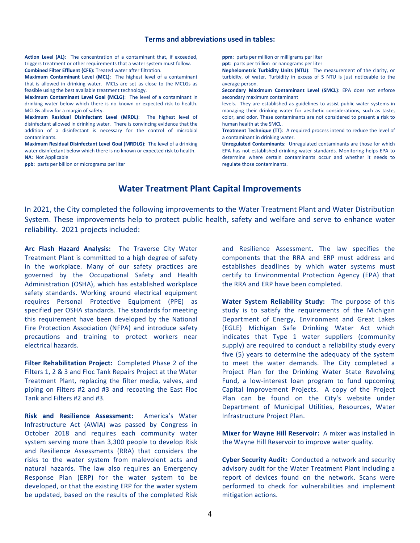### **Terms and abbreviations used in tables:**

**Action Level (AL)**: The concentration of a contaminant that, if exceeded, triggers treatment or other requirements that a water system must follow. **Combined Filter Effluent (CFE):** Treated water after filtration. **Maximum Contaminant Level (MCL)**: The highest level of a contaminant that is allowed in drinking water. MCLs are set as close to the MCLGs as feasible using the best available treatment technology. **Maximum Contaminant Level Goal (MCLG)**: The level of a contaminant in drinking water below which there is no known or expected risk to health. MCLGs allow for a margin of safety. **Maximum Residual Disinfectant Level (MRDL)**: The highest level of disinfectant allowed in drinking water. There is convincing evidence that the addition of a disinfectant is necessary for the control of microbial contaminants. **Maximum Residual Disinfectant Level Goal (MRDLG)**: The level of a drinking water disinfectant below which there is no known or expected risk to health. **NA**: Not Applicable **ppm**: parts per million or milligrams per liter **ppt**: parts per trillion or nanograms per liter **Nephelometric Turbidity Units (NTU)**: The measurement of the clarity, or turbidity, of water. Turbidity in excess of 5 NTU is just noticeable to the average person. **Secondary Maximum Contaminant Level (SMCL)**: EPA does not enforce secondary maximum contaminant levels. They are established as guidelines to assist public water systems in managing their drinking water for aesthetic considerations, such as taste, color, and odor. These contaminants are not considered to present a risk to human health at the SMCL. **Treatment Technique (TT)**: A required process intend to reduce the level of a contaminant in drinking water. **Unregulated Contaminants**: Unregulated contaminants are those for which EPA has not established drinking water standards. Monitoring helps EPA to

**ppb**: parts per billion or micrograms per liter

determine where certain contaminants occur and whether it needs to regulate those contaminants.

### **Water Treatment Plant Capital Improvements**

In 2021, the City completed the following improvements to the Water Treatment Plant and Water Distribution System. These improvements help to protect public health, safety and welfare and serve to enhance water reliability. 2021 projects included:

**Arc Flash Hazard Analysis:** The Traverse City Water Treatment Plant is committed to a high degree of safety in the workplace. Many of our safety practices are governed by the Occupational Safety and Health Administration (OSHA), which has established workplace safety standards. Working around electrical equipment requires Personal Protective Equipment (PPE) as specified per OSHA standards. The standards for meeting this requirement have been developed by the National Fire Protection Association (NFPA) and introduce safety precautions and training to protect workers near electrical hazards.

**Filter Rehabilitation Project:** Completed Phase 2 of the Filters 1, 2 & 3 and Floc Tank Repairs Project at the Water Treatment Plant, replacing the filter media, valves, and piping on Filters #2 and #3 and recoating the East Floc Tank and Filters #2 and #3.

**Risk and Resilience Assessment:** America's Water Infrastructure Act (AWIA) was passed by Congress in October 2018 and requires each community water system serving more than 3,300 people to develop Risk and Resilience Assessments (RRA) that considers the risks to the water system from malevolent acts and natural hazards. The law also requires an Emergency Response Plan (ERP) for the water system to be developed, or that the existing ERP for the water system be updated, based on the results of the completed Risk and Resilience Assessment. The law specifies the components that the RRA and ERP must address and establishes deadlines by which water systems must certify to Environmental Protection Agency (EPA) that the RRA and ERP have been completed.

**Water System Reliability Study:** The purpose of this study is to satisfy the requirements of the Michigan Department of Energy, Environment and Great Lakes (EGLE) Michigan Safe Drinking Water Act which indicates that Type 1 water suppliers (community supply) are required to conduct a reliability study every five (5) years to determine the adequacy of the system to meet the water demands. The City completed a Project Plan for the Drinking Water State Revolving Fund, a low-interest loan program to fund upcoming Capital Improvement Projects. A copy of the Project Plan can be found on the City's website under Department of Municipal Utilities, Resources, Water Infrastructure Project Plan.

**Mixer for Wayne Hill Reservoir:** A mixer was installed in the Wayne Hill Reservoir to improve water quality.

**Cyber Security Audit:** Conducted a network and security advisory audit for the Water Treatment Plant including a report of devices found on the network. Scans were performed to check for vulnerabilities and implement mitigation actions.